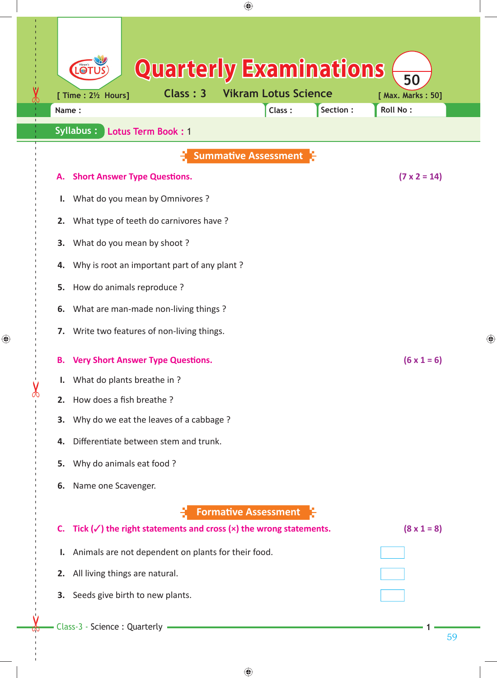| ⊕                                                                                                                                                                                                                                                                                                                                                                                                                                                                                                  |   |
|----------------------------------------------------------------------------------------------------------------------------------------------------------------------------------------------------------------------------------------------------------------------------------------------------------------------------------------------------------------------------------------------------------------------------------------------------------------------------------------------------|---|
| <b>Quarterly Examinations</b><br>LOT<br>50<br><b>Vikram Lotus Science</b><br>Class: 3<br>[ Max. Marks: 50]<br>[ Time : 21/2 Hours]<br>Section:<br>Roll No:<br>Class:<br>Name:                                                                                                                                                                                                                                                                                                                      |   |
| Syllabus:<br><b>Lotus Term Book: 1</b>                                                                                                                                                                                                                                                                                                                                                                                                                                                             |   |
| <b>Summative Assessment</b>                                                                                                                                                                                                                                                                                                                                                                                                                                                                        |   |
| <b>Short Answer Type Questions.</b><br>$(7 \times 2 = 14)$<br>А.<br>What do you mean by Omnivores?<br>ı.<br>What type of teeth do carnivores have?<br>2.                                                                                                                                                                                                                                                                                                                                           |   |
| What do you mean by shoot?<br>3.<br>Why is root an important part of any plant?<br>4.<br>How do animals reproduce?<br>5.<br>What are man-made non-living things?<br>6.<br>7. Write two features of non-living things.<br>$(6 \times 1 = 6)$<br><b>B.</b> Very Short Answer Type Questions.<br>What do plants breathe in?<br>I.<br>How does a fish breathe?<br>2.<br>Why do we eat the leaves of a cabbage?<br>3.<br>Differentiate between stem and trunk.<br>4.<br>Why do animals eat food ?<br>5. | ♠ |
| Name one Scavenger.<br>6.<br><b>Formative Assessment</b><br>C. Tick $(\checkmark)$ the right statements and cross $(x)$ the wrong statements.<br>$(8 \times 1 = 8)$<br>I. Animals are not dependent on plants for their food.<br>2. All living things are natural.<br>3. Seeds give birth to new plants.<br>Class-3 - Science : Quarterly                                                                                                                                                          |   |
| 59                                                                                                                                                                                                                                                                                                                                                                                                                                                                                                 |   |

 $\bigoplus$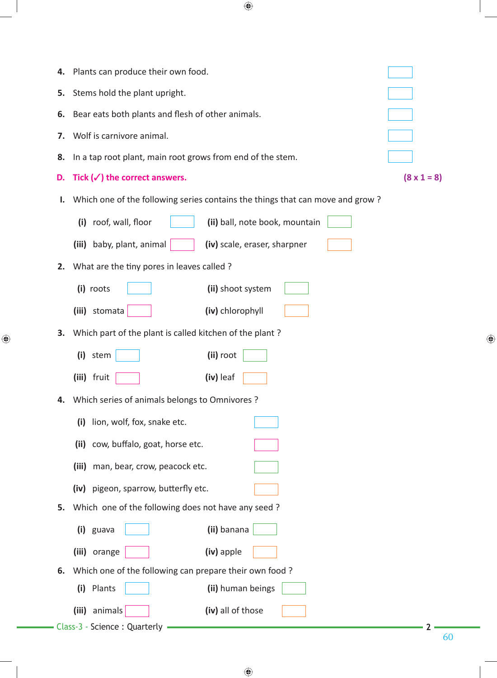| 4. | Plants can produce their own food.                                            |                                |                    |  |  |  |
|----|-------------------------------------------------------------------------------|--------------------------------|--------------------|--|--|--|
| 5. | Stems hold the plant upright.                                                 |                                |                    |  |  |  |
| 6. | Bear eats both plants and flesh of other animals.                             |                                |                    |  |  |  |
| 7. | Wolf is carnivore animal.                                                     |                                |                    |  |  |  |
| 8. | In a tap root plant, main root grows from end of the stem.                    |                                |                    |  |  |  |
| D. | Tick $(\checkmark)$ the correct answers.                                      |                                | $(8 \times 1 = 8)$ |  |  |  |
| I. | Which one of the following series contains the things that can move and grow? |                                |                    |  |  |  |
|    | roof, wall, floor<br>(i)                                                      | (ii) ball, note book, mountain |                    |  |  |  |
|    | (iii) baby, plant, animal                                                     | (iv) scale, eraser, sharpner   |                    |  |  |  |
|    | 2. What are the tiny pores in leaves called?                                  |                                |                    |  |  |  |
|    | (i) roots                                                                     | (ii) shoot system              |                    |  |  |  |
|    | (iii) stomata                                                                 | (iv) chlorophyll               |                    |  |  |  |
| 3. | Which part of the plant is called kitchen of the plant?                       |                                |                    |  |  |  |
|    | (i) stem                                                                      | (ii) root                      |                    |  |  |  |
|    | (iii) fruit                                                                   | (iv) leaf                      |                    |  |  |  |
| 4. | Which series of animals belongs to Omnivores ?                                |                                |                    |  |  |  |
|    | lion, wolf, fox, snake etc.<br>(i)                                            |                                |                    |  |  |  |
|    | cow, buffalo, goat, horse etc.<br>(ii)                                        |                                |                    |  |  |  |
|    | man, bear, crow, peacock etc.<br>(iii)                                        |                                |                    |  |  |  |
|    | (iv) pigeon, sparrow, butterfly etc.                                          |                                |                    |  |  |  |
| 5. | Which one of the following does not have any seed?                            |                                |                    |  |  |  |
|    | (i) guava                                                                     | (ii) banana                    |                    |  |  |  |
|    | (iii) orange                                                                  | (iv) apple                     |                    |  |  |  |
| 6. | Which one of the following can prepare their own food?                        |                                |                    |  |  |  |
|    | Plants<br>(i)                                                                 | (ii) human beings              |                    |  |  |  |
|    | (iii) animals                                                                 | (iv) all of those              |                    |  |  |  |
|    | Class-3 - Science : Quarterly .                                               |                                | 60                 |  |  |  |
|    |                                                                               |                                |                    |  |  |  |

 $\bigoplus$ 

 $\bigoplus$ 

 $\bigoplus$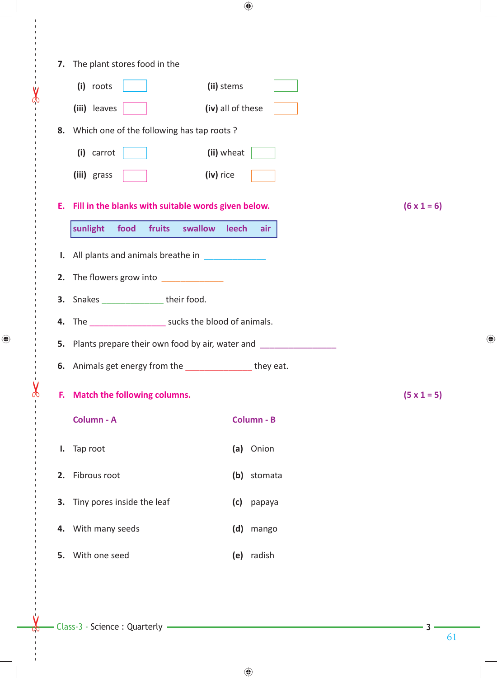| 7.                                                     | The plant stores food in the                          |                   |                    |  |  |
|--------------------------------------------------------|-------------------------------------------------------|-------------------|--------------------|--|--|
|                                                        | (i) roots<br>(ii) stems                               |                   |                    |  |  |
|                                                        | (iii) leaves                                          | (iv) all of these |                    |  |  |
|                                                        | 8. Which one of the following has tap roots?          |                   |                    |  |  |
|                                                        | (ii) wheat<br>(i) carrot                              |                   |                    |  |  |
|                                                        | (iv) rice<br>(iii) grass                              |                   |                    |  |  |
| E. Fill in the blanks with suitable words given below. | $(6 \times 1 = 6)$                                    |                   |                    |  |  |
|                                                        | sunlight<br>fruits<br>swallow<br>food                 | leech<br>air      |                    |  |  |
| Ι.                                                     | All plants and animals breathe in ____________        |                   |                    |  |  |
| 2.                                                     | The flowers grow into _____________                   |                   |                    |  |  |
|                                                        |                                                       |                   |                    |  |  |
| 3.                                                     | Snakes _________________their food.                   |                   |                    |  |  |
| 4.                                                     | The sucks the blood of animals.                       |                   |                    |  |  |
| 5.                                                     | Plants prepare their own food by air, water and       |                   |                    |  |  |
| 6.                                                     | Animals get energy from the ________________they eat. |                   |                    |  |  |
|                                                        | F. Match the following columns.                       |                   | $(5 \times 1 = 5)$ |  |  |
|                                                        | Column - A                                            | Column - B        |                    |  |  |
| L.                                                     | Tap root                                              | (a) Onion         |                    |  |  |
| 2.                                                     | Fibrous root                                          | (b) stomata       |                    |  |  |
| 3.                                                     | Tiny pores inside the leaf                            | (c)<br>papaya     |                    |  |  |
| 4.                                                     | With many seeds                                       | (d) mango         |                    |  |  |
| 5.                                                     | With one seed                                         | (e) radish        |                    |  |  |

 $\bigoplus$ 

 $\leftarrow$ 

 $\frac{1}{\infty}$ 

 $\bigoplus$ 

 $\frac{1}{\mathsf{V}}$ 

 $\bigoplus$ 

**3**